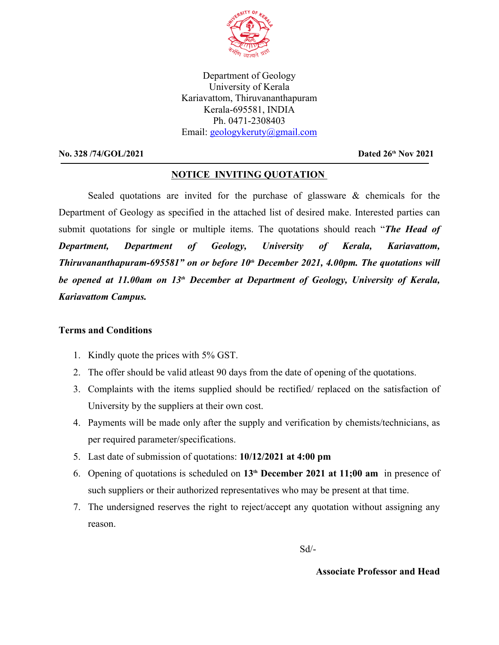

Department of Geology University of Kerala Kariavattom, Thiruvananthapuram Kerala-695581, INDIA Ph. 0471-2308403 Email: geologykeruty@gmail.com

## **No. 328 /74/GOL/2021 Dated 26<sup>th</sup> Nov 2021**

## **NOTICE INVITING QUOTATION**

Sealed quotations are invited for the purchase of glassware & chemicals for the Department of Geology as specified in the attached list of desired make. Interested parties can submit quotations for single or multiple items. The quotations should reach "*The Head of Department, Department of Geology, University of Kerala, Kariavattom, Thiruvananthapuram-695581" on or before 10th December 2021, 4.00pm. The quotations will be opened at 11.00am on 13th December at Department of Geology, University of Kerala, Kariavattom Campus.*

## **Terms and Conditions**

- 1. Kindly quote the prices with 5% GST.
- 2. The offer should be valid atleast 90 days from the date of opening of the quotations.
- 3. Complaints with the items supplied should be rectified/ replaced on the satisfaction of University by the suppliers at their own cost.
- 4. Payments will be made only after the supply and verification by chemists/technicians, as per required parameter/specifications.
- 5. Last date of submission of quotations: **10/12/2021 at 4:00 pm**
- 6. Opening of quotations is scheduled on **13th December 2021 at 11;00 am** in presence of such suppliers or their authorized representatives who may be present at that time.
- 7. The undersigned reserves the right to reject/accept any quotation without assigning any reason.

Sd/-

## **Associate Professor and Head**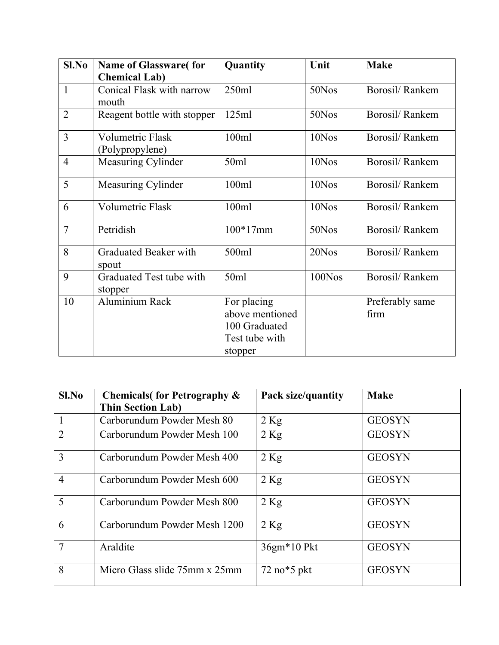| Sl.No          | <b>Name of Glassware(for</b>               | Quantity                                                                     | Unit   | <b>Make</b>             |
|----------------|--------------------------------------------|------------------------------------------------------------------------------|--------|-------------------------|
|                | <b>Chemical Lab)</b>                       |                                                                              |        |                         |
|                | Conical Flask with narrow<br>mouth         | 250ml                                                                        | 50Nos  | Borosil/Rankem          |
| $\overline{2}$ | Reagent bottle with stopper                | 125ml                                                                        | 50Nos  | Borosil/Rankem          |
| $\overline{3}$ | <b>Volumetric Flask</b><br>(Polypropylene) | 100ml                                                                        | 10Nos  | Borosil/Rankem          |
| $\overline{4}$ | Measuring Cylinder                         | 50ml                                                                         | 10Nos  | Borosil/Rankem          |
| 5              | Measuring Cylinder                         | 100ml                                                                        | 10Nos  | Borosil/Rankem          |
| 6              | <b>Volumetric Flask</b>                    | 100ml                                                                        | 10Nos  | Borosil/Rankem          |
| $\overline{7}$ | Petridish                                  | $100*17$ mm                                                                  | 50Nos  | Borosil/Rankem          |
| 8              | <b>Graduated Beaker with</b><br>spout      | 500ml                                                                        | 20Nos  | Borosil/Rankem          |
| 9              | Graduated Test tube with<br>stopper        | 50ml                                                                         | 100Nos | Borosil/Rankem          |
| 10             | Aluminium Rack                             | For placing<br>above mentioned<br>100 Graduated<br>Test tube with<br>stopper |        | Preferably same<br>firm |

| Sl.No          | <b>Chemicals (for Petrography &amp;</b> | <b>Pack size/quantity</b>                 | <b>Make</b>   |  |
|----------------|-----------------------------------------|-------------------------------------------|---------------|--|
|                | <b>Thin Section Lab)</b>                |                                           |               |  |
| $\mathbf{1}$   | Carborundum Powder Mesh 80              | $2$ Kg                                    | <b>GEOSYN</b> |  |
| $\overline{2}$ | Carborundum Powder Mesh 100             | $2$ Kg                                    | <b>GEOSYN</b> |  |
| $\overline{3}$ | Carborundum Powder Mesh 400             | $2$ Kg                                    | <b>GEOSYN</b> |  |
| $\overline{4}$ | Carborundum Powder Mesh 600             | $2$ Kg                                    | <b>GEOSYN</b> |  |
| 5              | Carborundum Powder Mesh 800             | $2$ Kg                                    | <b>GEOSYN</b> |  |
| 6              | Carborundum Powder Mesh 1200            | $2$ Kg                                    | <b>GEOSYN</b> |  |
| $\overline{7}$ | Araldite                                | 36gm*10 Pkt                               | <b>GEOSYN</b> |  |
| 8              | Micro Glass slide 75mm x 25mm           | $72$ no <sup><math>\ast</math>5</sup> pkt | <b>GEOSYN</b> |  |